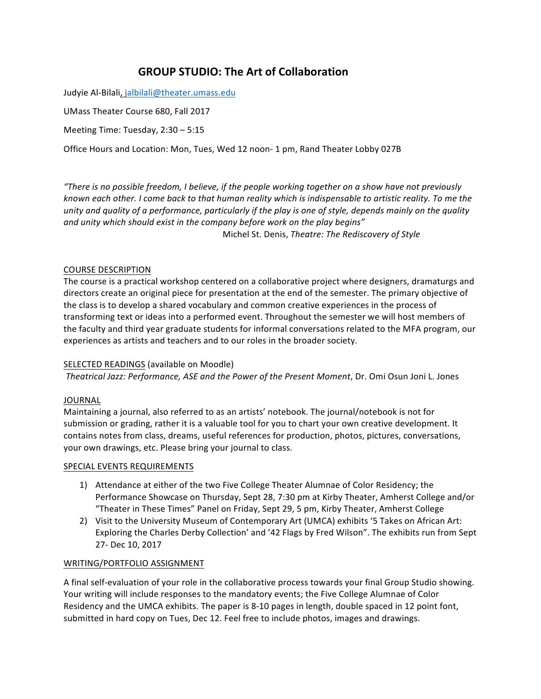# **GROUP STUDIO: The Art of Collaboration**

Judyie Al-Bilali, jalbilali@theater.umass.edu

UMass Theater Course 680, Fall 2017

Meeting Time: Tuesday, 2:30 - 5:15

Office Hours and Location: Mon, Tues, Wed 12 noon- 1 pm, Rand Theater Lobby 027B

*"There is no possible freedom, I believe, if the people working together on a show have not previously known* each other. I come back to that human reality which is indispensable to artistic reality. To me the *unity* and quality of a performance, particularly if the play is one of style, depends mainly on the quality and unity which should exist in the company before work on the play begins" Michel St. Denis, *Theatre: The Rediscovery of Style*

# COURSE DESCRIPTION

The course is a practical workshop centered on a collaborative project where designers, dramaturgs and directors create an original piece for presentation at the end of the semester. The primary objective of the class is to develop a shared vocabulary and common creative experiences in the process of transforming text or ideas into a performed event. Throughout the semester we will host members of the faculty and third year graduate students for informal conversations related to the MFA program, our experiences as artists and teachers and to our roles in the broader society.

# SELECTED READINGS (available on Moodle)

*Theatrical Jazz: Performance, ASE and the Power of the Present Moment*, Dr. Omi Osun Joni L. Jones

# JOURNAL

Maintaining a journal, also referred to as an artists' notebook. The journal/notebook is not for submission or grading, rather it is a valuable tool for you to chart your own creative development. It contains notes from class, dreams, useful references for production, photos, pictures, conversations, your own drawings, etc. Please bring your journal to class.

# SPECIAL EVENTS REQUIREMENTS

- 1) Attendance at either of the two Five College Theater Alumnae of Color Residency; the Performance Showcase on Thursday, Sept 28, 7:30 pm at Kirby Theater, Amherst College and/or "Theater in These Times" Panel on Friday, Sept 29, 5 pm, Kirby Theater, Amherst College
- 2) Visit to the University Museum of Contemporary Art (UMCA) exhibits '5 Takes on African Art: Exploring the Charles Derby Collection' and '42 Flags by Fred Wilson". The exhibits run from Sept 27- Dec 10, 2017

# WRITING/PORTFOLIO ASSIGNMENT

A final self-evaluation of your role in the collaborative process towards your final Group Studio showing. Your writing will include responses to the mandatory events; the Five College Alumnae of Color Residency and the UMCA exhibits. The paper is 8-10 pages in length, double spaced in 12 point font, submitted in hard copy on Tues, Dec 12. Feel free to include photos, images and drawings.